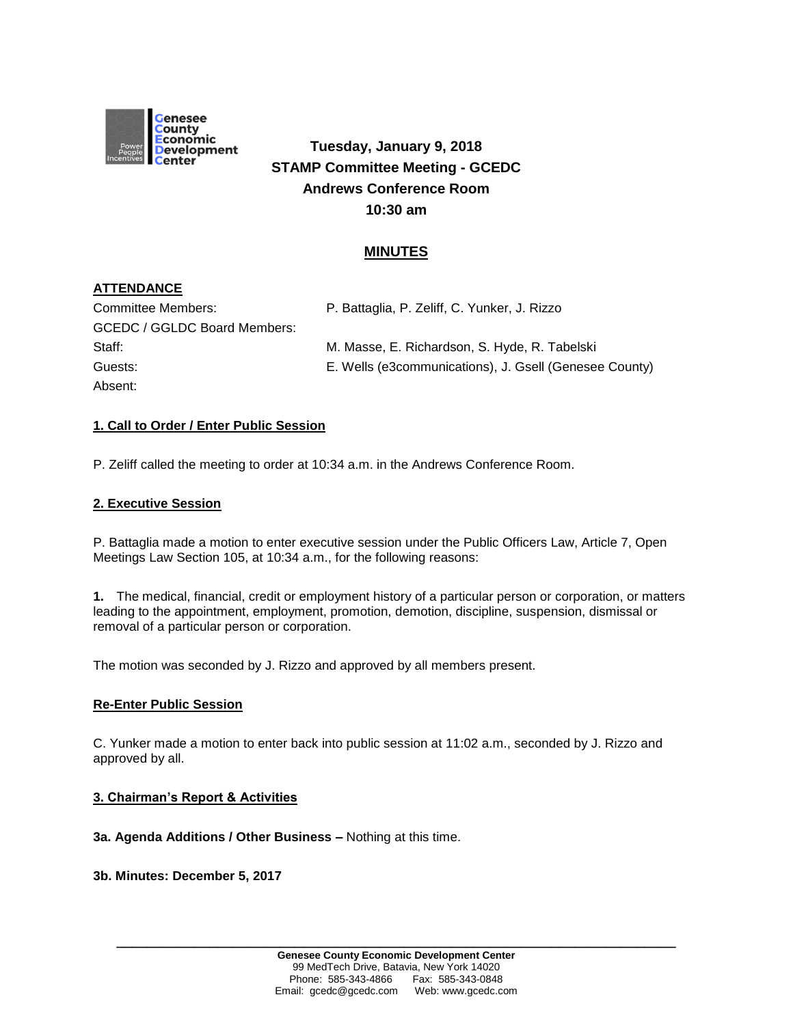

# **Tuesday, January 9, 2018 STAMP Committee Meeting - GCEDC Andrews Conference Room 10:30 am**

## **MINUTES**

## **ATTENDANCE**

| Committee Members:           | P. Battaglia, P. Zeliff, C. Yunker, J. Rizzo           |
|------------------------------|--------------------------------------------------------|
| GCEDC / GGLDC Board Members: |                                                        |
| Staff:                       | M. Masse, E. Richardson, S. Hyde, R. Tabelski          |
| Guests:                      | E. Wells (e3communications), J. Gsell (Genesee County) |
| Absent:                      |                                                        |

## **1. Call to Order / Enter Public Session**

P. Zeliff called the meeting to order at 10:34 a.m. in the Andrews Conference Room.

#### **2. Executive Session**

P. Battaglia made a motion to enter executive session under the Public Officers Law, Article 7, Open Meetings Law Section 105, at 10:34 a.m., for the following reasons:

**1.** The medical, financial, credit or employment history of a particular person or corporation, or matters leading to the appointment, employment, promotion, demotion, discipline, suspension, dismissal or removal of a particular person or corporation.

The motion was seconded by J. Rizzo and approved by all members present.

#### **Re-Enter Public Session**

C. Yunker made a motion to enter back into public session at 11:02 a.m., seconded by J. Rizzo and approved by all.

#### **3. Chairman's Report & Activities**

#### **3a. Agenda Additions / Other Business –** Nothing at this time.

#### **3b. Minutes: December 5, 2017**

**\_\_\_\_\_\_\_\_\_\_\_\_\_\_\_\_\_\_\_\_\_\_\_\_\_\_\_\_\_\_\_\_\_\_\_\_\_\_\_\_\_\_\_\_\_\_\_\_\_\_\_\_\_\_\_\_\_\_\_\_\_\_\_\_\_\_\_\_\_\_\_\_**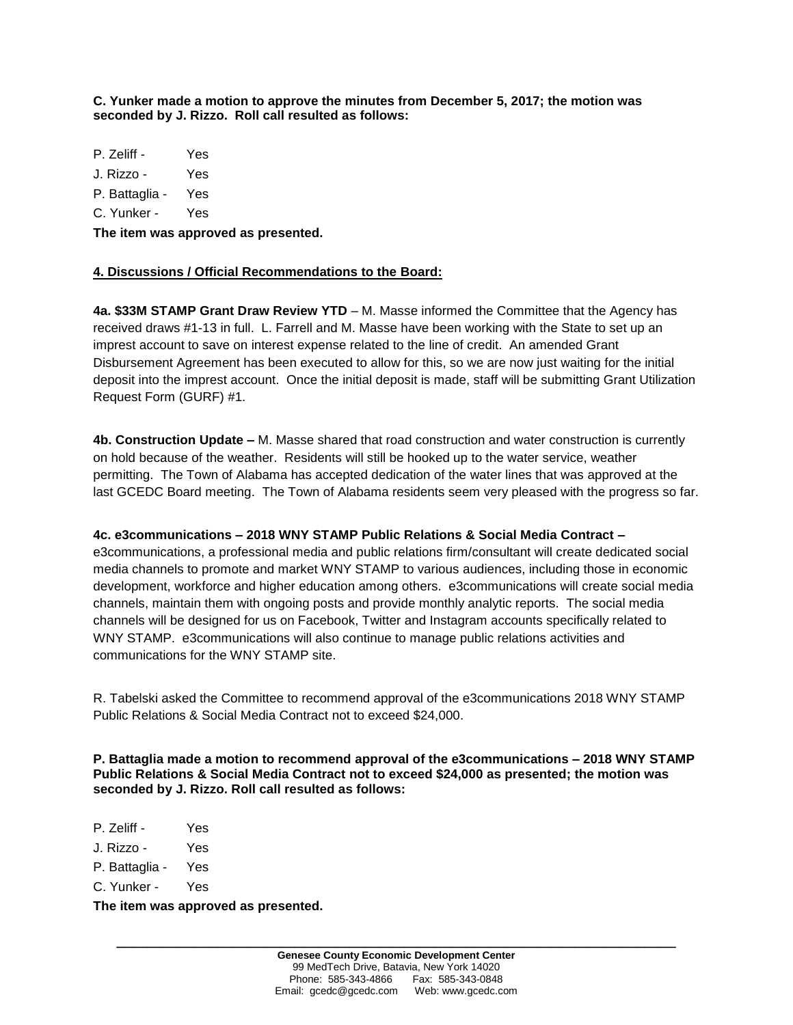**C. Yunker made a motion to approve the minutes from December 5, 2017; the motion was seconded by J. Rizzo. Roll call resulted as follows:**

P. Zeliff - Yes

J. Rizzo - Yes

P. Battaglia - Yes

C. Yunker - Yes

**The item was approved as presented.**

## **4. Discussions / Official Recommendations to the Board:**

**4a. \$33M STAMP Grant Draw Review YTD** – M. Masse informed the Committee that the Agency has received draws #1-13 in full. L. Farrell and M. Masse have been working with the State to set up an imprest account to save on interest expense related to the line of credit. An amended Grant Disbursement Agreement has been executed to allow for this, so we are now just waiting for the initial deposit into the imprest account. Once the initial deposit is made, staff will be submitting Grant Utilization Request Form (GURF) #1.

**4b. Construction Update –** M. Masse shared that road construction and water construction is currently on hold because of the weather. Residents will still be hooked up to the water service, weather permitting. The Town of Alabama has accepted dedication of the water lines that was approved at the last GCEDC Board meeting. The Town of Alabama residents seem very pleased with the progress so far.

## **4c. e3communications – 2018 WNY STAMP Public Relations & Social Media Contract –**

e3communications, a professional media and public relations firm/consultant will create dedicated social media channels to promote and market WNY STAMP to various audiences, including those in economic development, workforce and higher education among others. e3communications will create social media channels, maintain them with ongoing posts and provide monthly analytic reports. The social media channels will be designed for us on Facebook, Twitter and Instagram accounts specifically related to WNY STAMP. e3communications will also continue to manage public relations activities and communications for the WNY STAMP site.

R. Tabelski asked the Committee to recommend approval of the e3communications 2018 WNY STAMP Public Relations & Social Media Contract not to exceed \$24,000.

**P. Battaglia made a motion to recommend approval of the e3communications – 2018 WNY STAMP Public Relations & Social Media Contract not to exceed \$24,000 as presented; the motion was seconded by J. Rizzo. Roll call resulted as follows:**

- P. Zeliff Yes
- J. Rizzo Yes
- P. Battaglia Yes
- C. Yunker Yes

**The item was approved as presented.**

**\_\_\_\_\_\_\_\_\_\_\_\_\_\_\_\_\_\_\_\_\_\_\_\_\_\_\_\_\_\_\_\_\_\_\_\_\_\_\_\_\_\_\_\_\_\_\_\_\_\_\_\_\_\_\_\_\_\_\_\_\_\_\_\_\_\_\_\_\_\_\_\_**